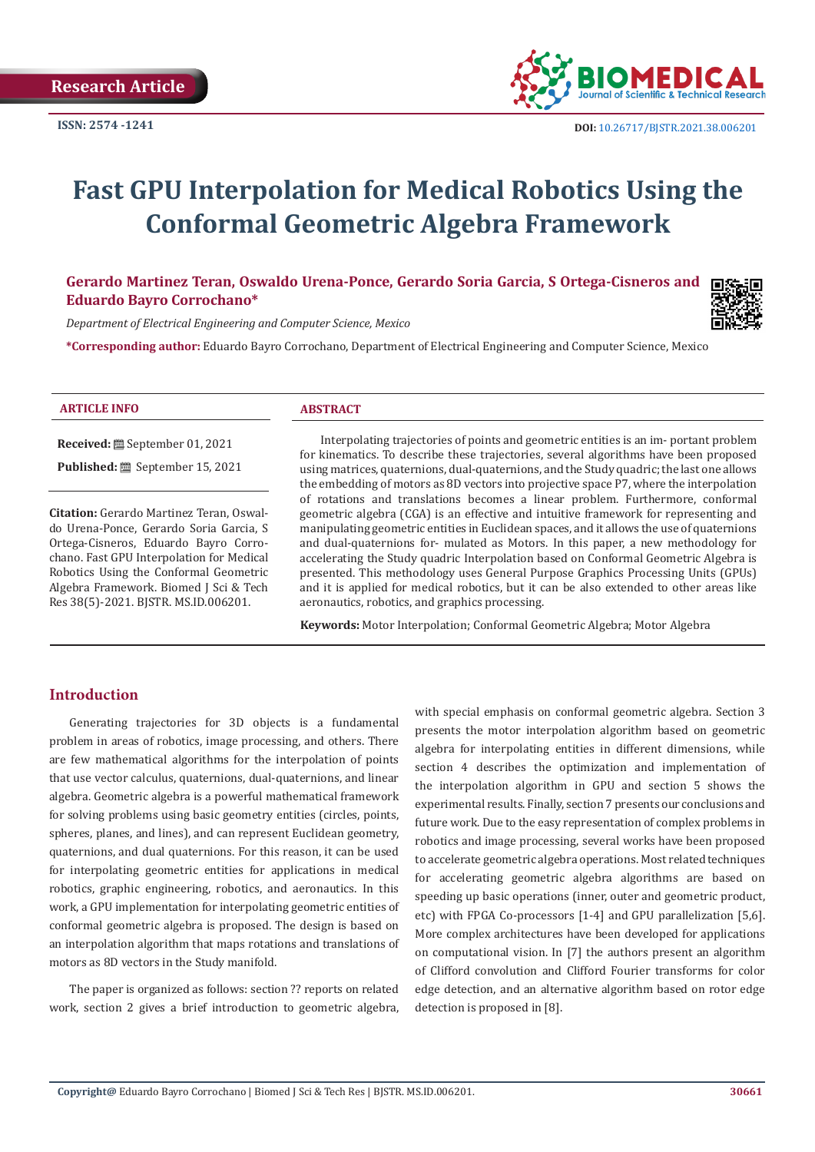

# **Fast GPU Interpolation for Medical Robotics Using the Conformal Geometric Algebra Framework**

# **Gerardo Martinez Teran, Oswaldo Urena-Ponce, Gerardo Soria Garcia, S Ortega-Cisneros and Eduardo Bayro Corrochano\***



**\*Corresponding author:** Eduardo Bayro Corrochano, Department of Electrical Engineering and Computer Science, Mexico

**Received:** September 01, 2021

**Published:** September 15, 2021

**Citation:** Gerardo Martinez Teran, Oswaldo Urena-Ponce, Gerardo Soria Garcia, S Ortega-Cisneros, Eduardo Bayro Corrochano. Fast GPU Interpolation for Medical Robotics Using the Conformal Geometric Algebra Framework. Biomed J Sci & Tech Res 38(5)-2021. BJSTR. MS.ID.006201.

Interpolating trajectories of points and geometric entities is an im- portant problem for kinematics. To describe these trajectories, several algorithms have been proposed using matrices, quaternions, dual-quaternions, and the Study quadric; the last one allows the embedding of motors as 8D vectors into projective space P7, where the interpolation of rotations and translations becomes a linear problem. Furthermore, conformal geometric algebra (CGA) is an effective and intuitive framework for representing and manipulating geometric entities in Euclidean spaces, and it allows the use of quaternions and dual-quaternions for- mulated as Motors. In this paper, a new methodology for accelerating the Study quadric Interpolation based on Conformal Geometric Algebra is presented. This methodology uses General Purpose Graphics Processing Units (GPUs) and it is applied for medical robotics, but it can be also extended to other areas like aeronautics, robotics, and graphics processing.

**Keywords:** Motor Interpolation; Conformal Geometric Algebra; Motor Algebra

# **Introduction**

Generating trajectories for 3D objects is a fundamental problem in areas of robotics, image processing, and others. There are few mathematical algorithms for the interpolation of points that use vector calculus, quaternions, dual-quaternions, and linear algebra. Geometric algebra is a powerful mathematical framework for solving problems using basic geometry entities (circles, points, spheres, planes, and lines), and can represent Euclidean geometry, quaternions, and dual quaternions. For this reason, it can be used for interpolating geometric entities for applications in medical robotics, graphic engineering, robotics, and aeronautics. In this work, a GPU implementation for interpolating geometric entities of conformal geometric algebra is proposed. The design is based on an interpolation algorithm that maps rotations and translations of motors as 8D vectors in the Study manifold.

The paper is organized as follows: section ?? reports on related work, section 2 gives a brief introduction to geometric algebra,

with special emphasis on conformal geometric algebra. Section 3 presents the motor interpolation algorithm based on geometric algebra for interpolating entities in different dimensions, while section 4 describes the optimization and implementation of the interpolation algorithm in GPU and section 5 shows the experimental results. Finally, section 7 presents our conclusions and future work. Due to the easy representation of complex problems in robotics and image processing, several works have been proposed to accelerate geometric algebra operations. Most related techniques for accelerating geometric algebra algorithms are based on speeding up basic operations (inner, outer and geometric product, etc) with FPGA Co-processors [1-4] and GPU parallelization [5,6]. More complex architectures have been developed for applications on computational vision. In [7] the authors present an algorithm of Clifford convolution and Clifford Fourier transforms for color edge detection, and an alternative algorithm based on rotor edge detection is proposed in [8].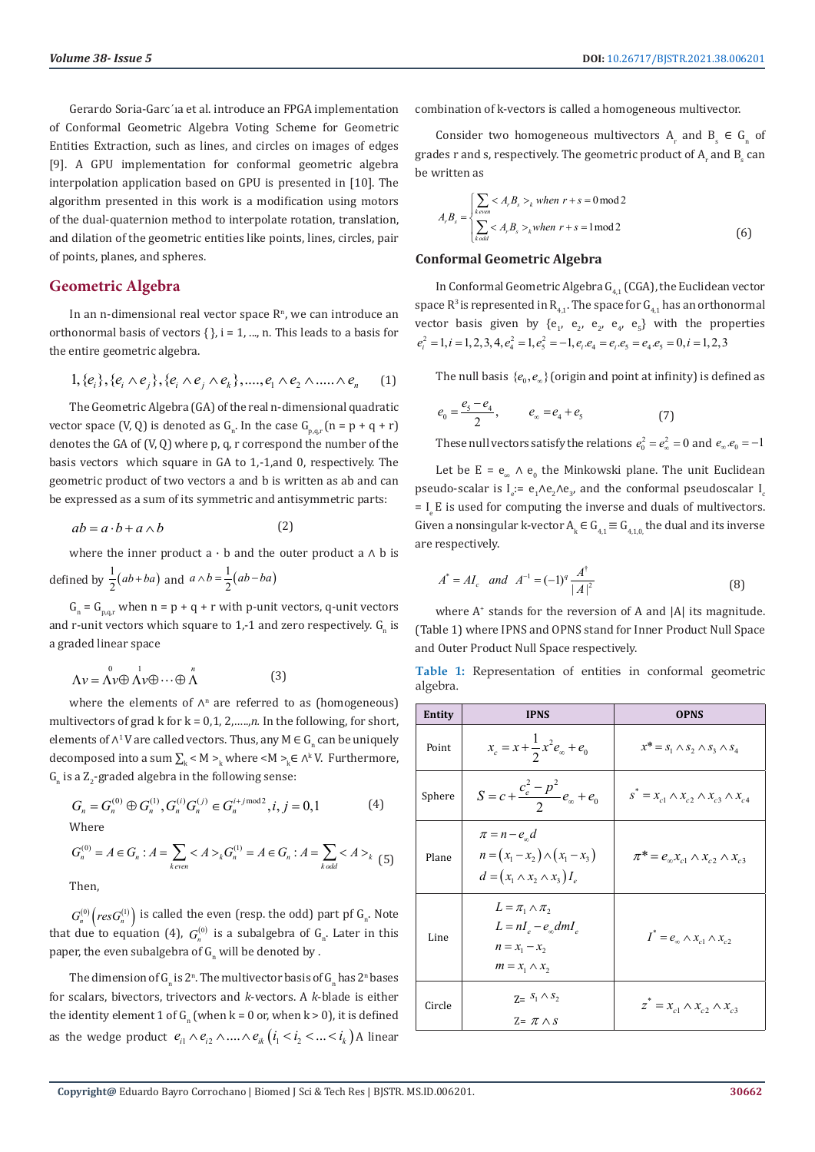Gerardo Soria-Garc´ıa et al. introduce an FPGA implementation of Conformal Geometric Algebra Voting Scheme for Geometric Entities Extraction, such as lines, and circles on images of edges [9]. A GPU implementation for conformal geometric algebra interpolation application based on GPU is presented in [10]. The algorithm presented in this work is a modification using motors of the dual-quaternion method to interpolate rotation, translation, and dilation of the geometric entities like points, lines, circles, pair of points, planes, and spheres.

# **Geometric Algebra**

In an n-dimensional real vector space  $\mathbb{R}^n$ , we can introduce an orthonormal basis of vectors  $\{\}$ , i = 1, ..., n. This leads to a basis for the entire geometric algebra.

$$
1, \{e_i\}, \{e_i \wedge e_j\}, \{e_i \wedge e_j \wedge e_k\}, \dots, e_1 \wedge e_2 \wedge \dots \wedge e_n \qquad (1)
$$

The Geometric Algebra (GA) of the real n-dimensional quadratic vector space (V, Q) is denoted as  $G_n$ . In the case  $G_{p,q,r}$   $(n = p + q + r)$ denotes the GA of (V, Q) where p, q, r correspond the number of the basis vectors which square in GA to 1,-1,and 0, respectively. The geometric product of two vectors a and b is written as ab and can be expressed as a sum of its symmetric and antisymmetric parts:

$$
ab = a \cdot b + a \wedge b \tag{2}
$$

where the inner product a  $\cdot$  b and the outer product a  $\wedge$  b is defined by  $\frac{1}{2}(ab+ba)$  and  $a \wedge b = \frac{1}{2}(ab-ba)$ 

 $G_n = G_{p,q,r}$  when  $n = p + q + r$  with p-unit vectors, q-unit vectors and r-unit vectors which square to  $1$ ,-1 and zero respectively.  $G_{\text{n}}$  is a graded linear space

$$
\Lambda v = \Lambda v \oplus \Lambda v \oplus \cdots \oplus \Lambda^{n}
$$
 (3)

where the elements of  $\Lambda^n$  are referred to as (homogeneous) multivectors of grad k for  $k = 0,1,2, \ldots, n$ . In the following, for short, elements of  $\wedge^1 V$  are called vectors. Thus, any  $M \in G_n$  can be uniquely decomposed into a sum  $\sum_{k}$  < M  $\geq_k$  where <M  $\geq_k$   $\in$   $\wedge^k$  V. Furthermore,  $G_n$  is a  $Z_2$ -graded algebra in the following sense:

$$
G_n = G_n^{(0)} \oplus G_n^{(1)}, G_n^{(i)} G_n^{(j)} \in G_n^{i+j \mod 2}, i, j = 0, 1
$$
 (4)

Where

$$
G_n^{(0)} = A \in G_n : A = \sum_{k \text{ even}} \langle A \rangle_k G_n^{(1)} = A \in G_n : A = \sum_{k \text{ odd}} \langle A \rangle_k
$$
 (5)

Then,

 $G_n^{(0)}\bigl(resG_n^{(1)}\bigr)$  is called the even (resp. the odd) part pf  $G_n$ . Note that due to equation (4),  $G_n^{(0)}$  is a subalgebra of  $G_n$ . Later in this paper, the even subalgebra of  $\mathsf{G}_\mathrm{n}$  will be denoted by .

The dimension of  $G_{\scriptscriptstyle \rm n}$  is 2<sup>n</sup>. The multivector basis of  $G_{\scriptscriptstyle \rm n}$  has 2<sup>n</sup> bases for scalars, bivectors, trivectors and *k*-vectors. A *k*-blade is either the identity element  $1$  of  $G_{\textrm{n}}$  (when k = 0 or, when k > 0), it is defined as the wedge product  $e_{i1} \wedge e_{i2} \wedge ... \wedge e_{ik}$  ( $i_1 < i_2 < ... < i_k$ ) A linear

combination of k-vectors is called a homogeneous multivector.

Consider two homogeneous multivectors  $A_r$  and  $B_s \in G_n$  of grades  $\bm{{\rm r}}$  and  $\bm{{\rm s}}$ , respectively. The geometric product of  $\bm{{\rm A}}_{\rm r}$  and  $\bm{{\rm B}}_{\rm s}$  can be written as

$$
A_r B_s = \begin{cases} \sum_{k \text{ even}} < A_r B_s >_k \text{ when } r + s = 0 \text{ mod } 2\\ \sum_{k \text{ odd}} < A_r B_s >_k \text{ when } r + s = 1 \text{ mod } 2 \end{cases}
$$
 (6)

### **Conformal Geometric Algebra**

In Conformal Geometric Algebra  $G_{4,1}$  (CGA), the Euclidean vector space  $R^3$  is represented in  $R_{4,1}$ . The space for  $G_{4,1}$  has an orthonormal vector basis given by  $\{e_{1'}\ e_{2'}\ e_{2'}\ e_{4'}\ e_{5}\}\$  with the properties  $e_i^2 = 1, i = 1, 2, 3, 4, e_4^2 = 1, e_5^2 = -1, e_i e_4 = e_i e_5 = e_4 e_5 = 0, i = 1, 2, 3$ 

The null basis  ${e_0, e_{\infty}}$  (origin and point at infinity) is defined as

$$
e_0 = \frac{e_5 - e_4}{2}, \qquad e_\infty = e_4 + e_5 \tag{7}
$$

These null vectors satisfy the relations  $e_0^2 = e_\infty^2 = 0$  and  $e_\infty e_0 = -1$ 

Let be  $E = e_{\infty} \wedge e_0$  the Minkowski plane. The unit Euclidean pseudo-scalar is  $I_e := e_1 \Lambda e_2 \Lambda e_3$ , and the conformal pseudoscalar  $I_e$  $=$  I E is used for computing the inverse and duals of multivectors. Given a nonsingular k-vector  $A_k \in G_{4,1} \equiv G_{4,1,0}$ , the dual and its inverse are respectively.

$$
A^* = AI_c \quad and \quad A^{-1} = (-1)^q \frac{A^{\dagger}}{|A|^2}
$$
 (8)

where  $A^*$  stands for the reversion of A and  $|A|$  its magnitude. (Table 1) where IPNS and OPNS stand for Inner Product Null Space and Outer Product Null Space respectively.

|          | Table 1: Representation of entities in conformal geometric |  |  |  |
|----------|------------------------------------------------------------|--|--|--|
| algebra. |                                                            |  |  |  |

| Entity | <b>IPNS</b>                                                                                                  | <b>OPNS</b>                                              |
|--------|--------------------------------------------------------------------------------------------------------------|----------------------------------------------------------|
| Point  | $x_c = x + \frac{1}{2}x^2 e_{\infty} + e_0$                                                                  | $x^* = s_1 \wedge s_2 \wedge s_3 \wedge s_4$             |
| Sphere | $S = c + \frac{c_e^2 - p^2}{2}e_{\infty} + e_0$                                                              | $s^* = x_{c1} \wedge x_{c2} \wedge x_{c3} \wedge x_{c4}$ |
| Plane  | $\pi = n - e_{n}d$<br>$n = (x_1 - x_2) \wedge (x_1 - x_3)$<br>$d=(x_1\wedge x_2\wedge x_3)I_e$               | $\pi^* = e_{\infty} x_{c1} \wedge x_{c2} \wedge x_{c3}$  |
| Line   | $L = \pi_1 \wedge \pi_2$<br>$L = nI_{\rho} - e_{\rho} dmI_{\rho}$<br>$n = x_1 - x_2$<br>$m = x_1 \wedge x_2$ | $I^* = e_{\infty} \wedge x_{c1} \wedge x_{c2}$           |
| Circle | $Z = S_1 \wedge S_2$<br>$Z = \pi \wedge s$                                                                   | $z^* = x_{c1} \wedge x_{c2} \wedge x_{c3}$               |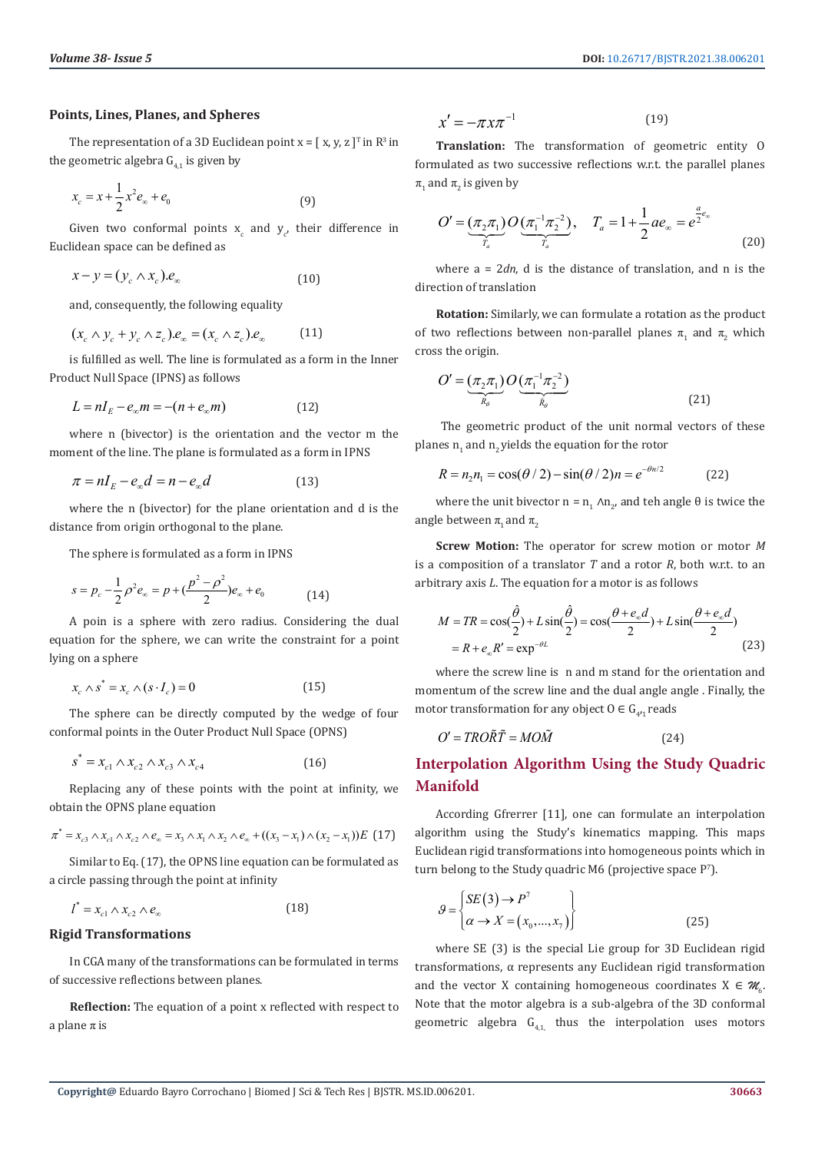## **Points, Lines, Planes, and Spheres**

The representation of a 3D Euclidean point  $x = [x, y, z]^T$  in  $\mathbb{R}^3$  in the geometric algebra  $G_{41}$  is given by

$$
x_c = x + \frac{1}{2}x^2 e_\infty + e_0 \tag{9}
$$

Given two conformal points  $x_c$  and  $y_{c'}$  their difference in Euclidean space can be defined as

$$
x - y = (y_c \wedge x_c) \cdot e_{\infty} \tag{10}
$$

and, consequently, the following equality

$$
(x_c \wedge y_c + y_c \wedge z_c).e_{\infty} = (x_c \wedge z_c).e_{\infty}
$$
 (11)

is fulfilled as well. The line is formulated as a form in the Inner Product Null Space (IPNS) as follows

$$
L = nI_E - e_\infty m = -(n + e_\infty m) \tag{12}
$$

where n (bivector) is the orientation and the vector m the moment of the line. The plane is formulated as a form in IPNS

$$
\pi = nI_E - e_\infty d = n - e_\infty d \tag{13}
$$

where the n (bivector) for the plane orientation and d is the distance from origin orthogonal to the plane.

The sphere is formulated as a form in IPNS

$$
s = p_c - \frac{1}{2}\rho^2 e_\infty = p + (\frac{p^2 - \rho^2}{2})e_\infty + e_0 \tag{14}
$$

A poin is a sphere with zero radius. Considering the dual equation for the sphere, we can write the constraint for a point lying on a sphere

$$
x_c \wedge s^* = x_c \wedge (s \cdot I_c) = 0 \tag{15}
$$

The sphere can be directly computed by the wedge of four conformal points in the Outer Product Null Space (OPNS)

$$
s^* = x_{c1} \wedge x_{c2} \wedge x_{c3} \wedge x_{c4} \tag{16}
$$

Replacing any of these points with the point at infinity, we obtain the OPNS plane equation

$$
\pi^* = x_{c3} \wedge x_{c1} \wedge x_{c2} \wedge e_{\infty} = x_3 \wedge x_1 \wedge x_2 \wedge e_{\infty} + ((x_3 - x_1) \wedge (x_2 - x_1))E \tag{17}
$$

Similar to Eq. (17), the OPNS line equation can be formulated as a circle passing through the point at infinity

$$
l^* = x_{c1} \wedge x_{c2} \wedge e_{\infty} \tag{18}
$$

# **Rigid Transformations**

In CGA many of the transformations can be formulated in terms of successive reflections between planes.

**Reflection:** The equation of a point x reflected with respect to a plane  $\pi$  is

$$
x' = -\pi x \pi^{-1} \tag{19}
$$

**Translation:** The transformation of geometric entity O formulated as two successive reflections w.r.t. the parallel planes  $\pi$ <sub>1</sub> and  $\pi$ <sub>2</sub> is given by

$$
O' = \underbrace{(\pi_2 \pi_1)}_{T_a} O\underbrace{(\pi_1^{-1} \pi_2^{-2})}_{T_a}, \quad T_a = 1 + \frac{1}{2} a e_\infty = e^{\frac{a}{2}e_\infty}
$$
\n(20)

where a = 2*dn*, d is the distance of translation, and n is the direction of translation

**Rotation:** Similarly, we can formulate a rotation as the product of two reflections between non-parallel planes  $\pi$ <sub>1</sub> and  $\pi$ <sub>2</sub> which cross the origin.

$$
O' = \underbrace{(\pi_2 \pi_1)}_{R_\theta} O\underbrace{(\pi_1^{-1} \pi_2^{-2})}_{R_\theta}
$$
\n(21)

 The geometric product of the unit normal vectors of these planes  $\mathbf{n}_1$  and  $\mathbf{n}_2$  yields the equation for the rotor

$$
R = n_2 n_1 = \cos(\theta/2) - \sin(\theta/2)n = e^{-\theta n/2}
$$
 (22)

where the unit bivector  $n = n_1 \wedge n_2$ , and teh angle  $\theta$  is twice the angle between  $\pi$ <sub>1</sub> and  $\pi$ <sub>2</sub>

**Screw Motion:** The operator for screw motion or motor *M* is a composition of a translator *T* and a rotor *R*, both w.r.t. to an arbitrary axis *L*. The equation for a motor is as follows

$$
M = TR = \cos(\frac{\hat{\theta}}{2}) + L\sin(\frac{\hat{\theta}}{2}) = \cos(\frac{\theta + e_{\infty}d}{2}) + L\sin(\frac{\theta + e_{\infty}d}{2})
$$
  
=  $R + e_{\infty}R' = \exp^{-\theta L}$  (23)

where the screw line is n and m stand for the orientation and momentum of the screw line and the dual angle angle . Finally, the motor transformation for any object  $0 \in G_{4^{\prime}1}$  reads

$$
O' = TRO\tilde{R}\tilde{T} = MO\tilde{M}
$$
 (24)

# **Interpolation Algorithm Using the Study Quadric Manifold**

According Gfrerrer [11], one can formulate an interpolation algorithm using the Study's kinematics mapping. This maps Euclidean rigid transformations into homogeneous points which in turn belong to the Study quadric M6 (projective space  $P^{\gamma}$ ).

$$
\mathcal{G} = \begin{cases} SE(3) \to P^7 \\ \alpha \to X = (x_0, ..., x_7) \end{cases}
$$
 (25)

where SE (3) is the special Lie group for 3D Euclidean rigid transformations, α represents any Euclidean rigid transformation and the vector X containing homogeneous coordinates  $X \in \mathcal{M}_6$ . Note that the motor algebra is a sub-algebra of the 3D conformal geometric algebra  $G_{4,1}$ , thus the interpolation uses motors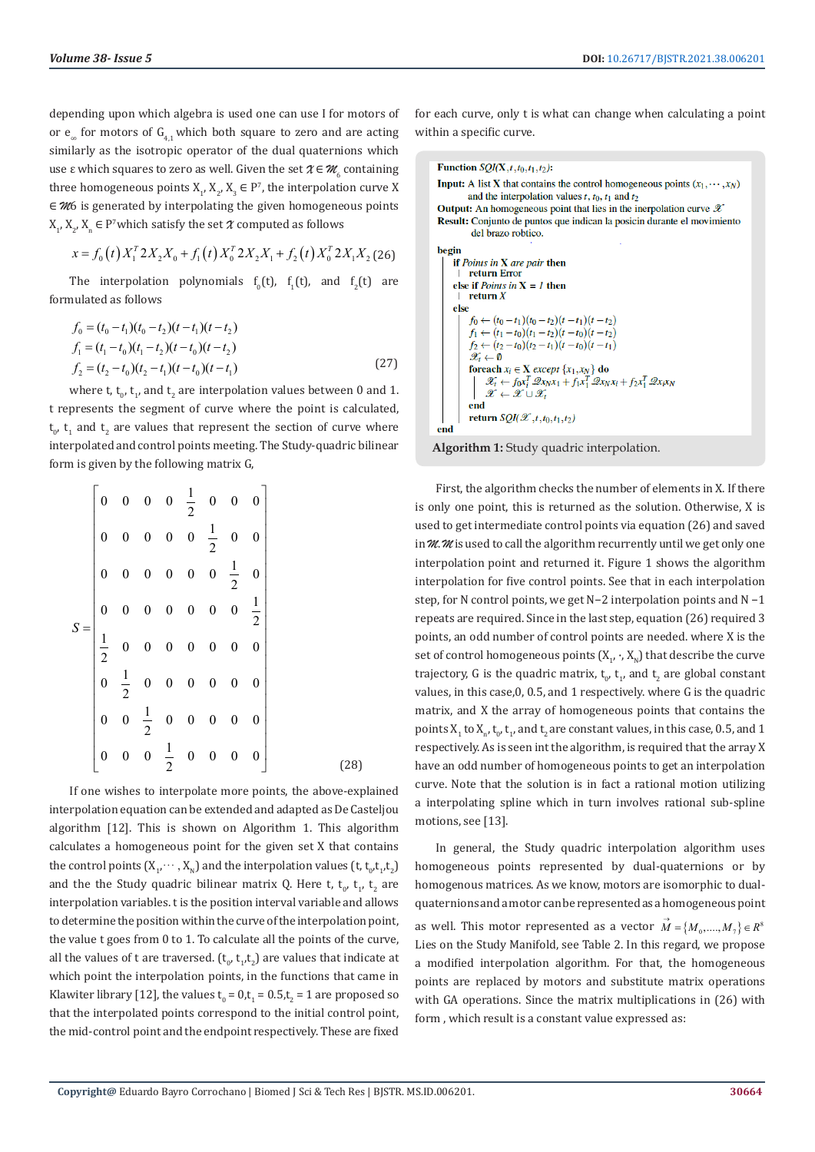depending upon which algebra is used one can use I for motors of or  $e_{\infty}$  for motors of  $G_{4,1}$  which both square to zero and are acting similarly as the isotropic operator of the dual quaternions which use  $\varepsilon$  which squares to zero as well. Given the set  $\chi \in \mathscr{M}_{_{6}}$  containing three homogeneous points  $X_1, X_2, X_3 \in P^{\gamma}$ , the interpolation curve X ∈ *M*6 is generated by interpolating the given homogeneous points  $X_1, X_2, X_n \in P^7$  which satisfy the set  $\mathcal X$  computed as follows

$$
x = f_0(t) X_1^T 2X_2 X_0 + f_1(t) X_0^T 2X_2 X_1 + f_2(t) X_0^T 2X_1 X_2
$$
 (26)

The interpolation polynomials  $t_0(t)$ ,  $t_1(t)$ , and  $t_2(t)$  are formulated as follows

$$
f_0 = (t_0 - t_1)(t_0 - t_2)(t - t_1)(t - t_2)
$$
  
\n
$$
f_1 = (t_1 - t_0)(t_1 - t_2)(t - t_0)(t - t_2)
$$
  
\n
$$
f_2 = (t_2 - t_0)(t_2 - t_1)(t - t_0)(t - t_1)
$$
\n(27)

where t,  $t_{0}$ ,  $t_{1}$ , and  $t_{2}$  are interpolation values between 0 and 1. t represents the segment of curve where the point is calculated,  $t_{0}$ ,  $t_{1}$  and  $t_{2}$  are values that represent the section of curve where interpolated and control points meeting. The Study-quadric bilinear form is given by the following matrix G,

|  |  |  | $S = \begin{bmatrix} 0 & 0 & 0 & 0 & \frac{1}{2} & 0 & 0 & 0 \\ 0 & 0 & 0 & 0 & 0 & \frac{1}{2} & 0 & 0 \\ 0 & 0 & 0 & 0 & 0 & 0 & \frac{1}{2} & 0 \\ 0 & 0 & 0 & 0 & 0 & 0 & 0 & \frac{1}{2} \\ \frac{1}{2} & 0 & 0 & 0 & 0 & 0 & 0 & 0 \\ 0 & \frac{1}{2} & 0 & 0 & 0 & 0 & 0 & 0 \\ 0 & 0 & \frac{1}{2} & 0 & 0 & 0 & 0 & 0 \\ 0 & 0 & 0 &$ |      |  |
|--|--|--|------------------------------------------------------------------------------------------------------------------------------------------------------------------------------------------------------------------------------------------------------------------------------------------------------------------------------------------------|------|--|
|  |  |  |                                                                                                                                                                                                                                                                                                                                                |      |  |
|  |  |  |                                                                                                                                                                                                                                                                                                                                                |      |  |
|  |  |  |                                                                                                                                                                                                                                                                                                                                                |      |  |
|  |  |  |                                                                                                                                                                                                                                                                                                                                                | (28) |  |

If one wishes to interpolate more points, the above-explained interpolation equation can be extended and adapted as De Casteljou algorithm [12]. This is shown on Algorithm 1. This algorithm calculates a homogeneous point for the given set X that contains the control points  $(X_1, \dots, X_N)$  and the interpolation values  $(t, t_0, t_1, t_2)$ and the the Study quadric bilinear matrix Q. Here t,  $t_0$ ,  $t_1$ ,  $t_2$  are interpolation variables. t is the position interval variable and allows to determine the position within the curve of the interpolation point, the value t goes from 0 to 1. To calculate all the points of the curve, all the values of t are traversed.  $(t_{0}^{\prime},t_{1}^{\prime},t_{2}^{\prime})$  are values that indicate at which point the interpolation points, in the functions that came in Klawiter library [12], the values  $t_0 = 0, t_1 = 0.5, t_2 = 1$  are proposed so that the interpolated points correspond to the initial control point, the mid-control point and the endpoint respectively. These are fixed

for each curve, only t is what can change when calculating a point within a specific curve.

```
Function SQL(X, t, t_0, t_1, t_2):
Input: A list X that contains the control homogeneous points (x_1, \dots, x_N)and the interpolation values t, t_0, t_1 and t_2Output: An homogeneous point that lies in the inerpolation curve \mathscr XResult: Conjunto de puntos que indican la posicin durante el movimiento
           del brazo robtico.
begin
     if Points in X are pair then
      return Error
    else if Points in X = I then
         return Xelse
          f_0 \leftarrow (t_0 - t_1)(t_0 - t_2)(t - t_1)(t - t_2)f_1 \leftarrow (t_1 - t_0)(t_1 - t_2)(t - t_0)(t - t_2)f_2 \leftarrow (t_2 - t_0)(t_2 - t_1)(t - t_0)(t - t_1)\mathscr{X}_t \leftarrow \emptysetforeach x_i \in \mathbf{X} except \{x_1, x_N\} do
              \mathscr{X}_t \leftarrow f_0 x_i^T \mathscr{Q} x_N x_1 + f_1 x_1^T \mathscr{Q} x_N x_i + f_2 x_1^T \mathscr{Q} x_i x_N\mathscr{X} \leftarrow \mathscr{X} \cup \mathscr{X}_tend
          return \mathcal{SQI}(\mathcal{X},t,t_0,t_1,t_2)end
```
**Algorithm 1:** Study quadric interpolation.

First, the algorithm checks the number of elements in X. If there is only one point, this is returned as the solution. Otherwise, X is used to get intermediate control points via equation (26) and saved in *M*. *M* is used to call the algorithm recurrently until we get only one interpolation point and returned it. Figure 1 shows the algorithm interpolation for five control points. See that in each interpolation step, for N control points, we get N−2 interpolation points and N −1 repeats are required. Since in the last step, equation (26) required 3 points, an odd number of control points are needed. where X is the set of control homogeneous points  $(X_1, \cdot, X_{\text{N}})$  that describe the curve trajectory, G is the quadric matrix,  $t_{0}$ ,  $t_{1}$ , and  $t_{2}$  are global constant values, in this case,0, 0.5, and 1 respectively. where G is the quadric matrix, and X the array of homogeneous points that contains the points  $X_1$  to  $X_n$ ,  $t_0$ ,  $t_1$ , and  $t_2$  are constant values, in this case, 0.5, and 1 respectively. As is seen int the algorithm, is required that the array X have an odd number of homogeneous points to get an interpolation curve. Note that the solution is in fact a rational motion utilizing a interpolating spline which in turn involves rational sub-spline motions, see [13].

In general, the Study quadric interpolation algorithm uses homogeneous points represented by dual-quaternions or by homogenous matrices. As we know, motors are isomorphic to dualquaternions and a motor can be represented as a homogeneous point as well. This motor represented as a vector  $\overrightarrow{M} = \{M_0, \dots, M_7\} \in R^8$ Lies on the Study Manifold, see Table 2. In this regard, we propose a modified interpolation algorithm. For that, the homogeneous points are replaced by motors and substitute matrix operations with GA operations. Since the matrix multiplications in (26) with form , which result is a constant value expressed as: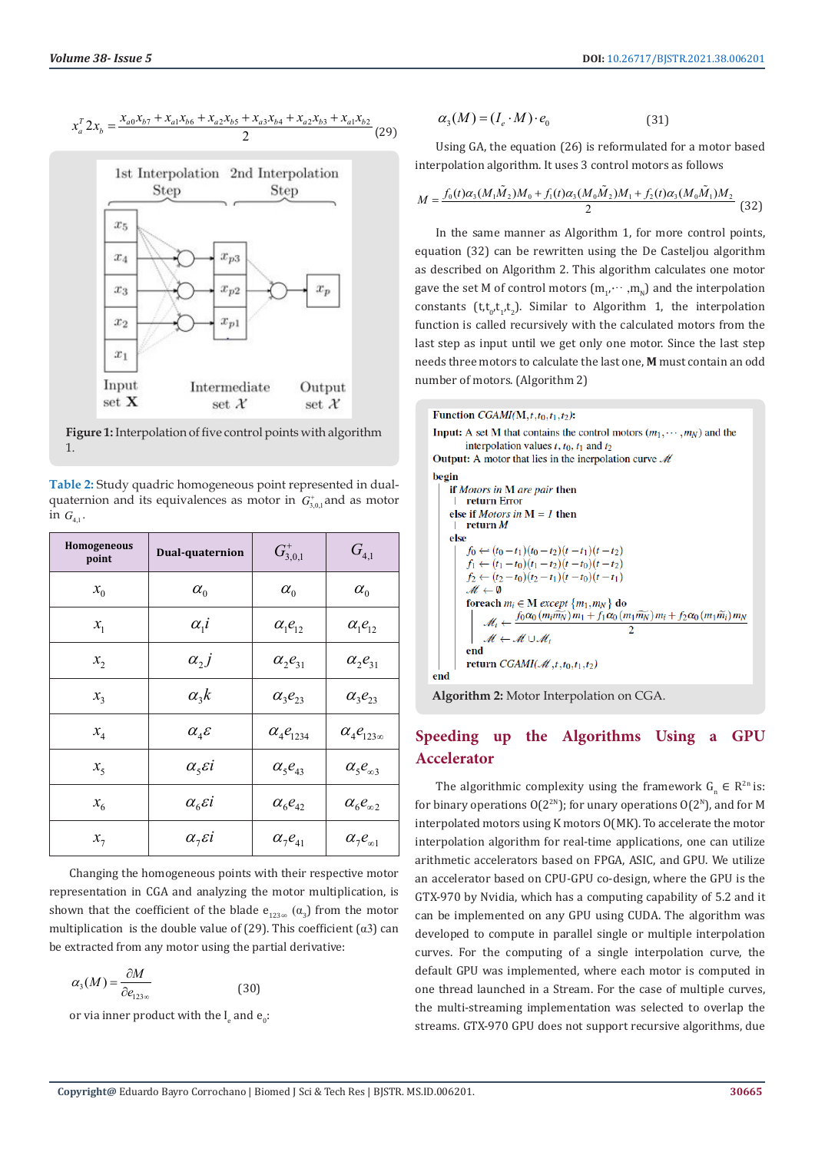



**Figure 1:** Interpolation of five control points with algorithm 1.

**Table 2:** Study quadric homogeneous point represented in dualquaternion and its equivalences as motor in  $G^*_{3,0,1}$  and as motor in  $G_{4,1}$ .

| <b>Homogeneous</b><br>point | Dual-quaternion                      | $G^*_{3,0,1}$       | $G_{\scriptscriptstyle 4,1}^{}$ |
|-----------------------------|--------------------------------------|---------------------|---------------------------------|
| $x_0$                       | $\alpha_{0}$                         | $\alpha_{0}$        | $\alpha_{0}$                    |
| $x_{1}$                     | $\alpha_{1}i$                        | $\alpha_1 e_{12}$   | $\alpha_1 e_{12}$               |
| $x_{2}$                     | $\alpha_{2}j$                        | $\alpha_2 e_{31}$   | $\alpha_2 e_{31}$               |
| $x_3$                       | $\alpha_{\scriptscriptstyle{3}} k$   | $\alpha_{3}e_{23}$  | $\alpha_{3}e_{23}$              |
| $x_4$                       | $\alpha_4$ $\varepsilon$             | $\alpha_4 e_{1234}$ | $\alpha_4e_{123\infty}$         |
| $x_{5}$                     | $\alpha5$ ci                         | $\alpha_5 e_{43}$   | $\alpha_{5}e_{\infty3}$         |
| $x_{6}$                     | $\alpha_{\beta}$ εί                  | $\alpha_{6}e_{42}$  | $\alpha_{6}e_{\infty 2}$        |
| $x_{7}$                     | $\alpha_{\overline{z}}\varepsilon i$ | $\alpha_7 e_{41}$   | $\alpha_{7}e_{\infty 1}$        |

Changing the homogeneous points with their respective motor representation in CGA and analyzing the motor multiplication, is shown that the coefficient of the blade  $e_{123\infty}$  ( $\alpha_3$ ) from the motor multiplication is the double value of (29). This coefficient ( $\alpha$ 3) can be extracted from any motor using the partial derivative:

$$
\alpha_3(M) = \frac{\partial M}{\partial e_{123\infty}} \tag{30}
$$

or via inner product with the  $I_e$  and  $e_0$ :

$$
\alpha_3(M) = (I_e \cdot M) \cdot e_0 \tag{31}
$$

Using GA, the equation (26) is reformulated for a motor based interpolation algorithm. It uses 3 control motors as follows

$$
M = \frac{f_0(t)\alpha_3(M_1\tilde{M}_2)M_0 + f_1(t)\alpha_3(M_0\tilde{M}_2)M_1 + f_2(t)\alpha_3(M_0\tilde{M}_1)M_2}{2}
$$
(32)

In the same manner as Algorithm 1, for more control points, equation (32) can be rewritten using the De Casteljou algorithm as described on Algorithm 2. This algorithm calculates one motor gave the set M of control motors  $(m_{1},\dots,m_{N})$  and the interpolation constants  $(t, t_{0}, t_{1}, t_{2})$ . Similar to Algorithm 1, the interpolation function is called recursively with the calculated motors from the last step as input until we get only one motor. Since the last step needs three motors to calculate the last one, **M** must contain an odd number of motors. (Algorithm 2)

| Function $CGAMI(M,t,t_0,t_1,t_2)$ :<br><b>Input:</b> A set M that contains the control motors $(m_1, \dots, m_N)$ and the<br>interpolation values $t, t_0, t_1$ and $t_2$<br><b>Output:</b> A motor that lies in the inerpolation curve $\mathcal{M}$<br>begin<br>if <i>Motors in</i> M are pair then<br>return Error<br>else if <i>Motors in</i> $M = I$ then<br>return $M$<br>else<br>$f_0 \leftarrow (t_0 - t_1)(t_0 - t_2)(t - t_1)(t - t_2)$<br>$f_1 \leftarrow (t_1 - t_0)(t_1 - t_2)(t - t_0)(t - t_2)$<br>$f_2 \leftarrow (t_2 - t_0)(t_2 - t_1)(t - t_0)(t - t_1)$<br>$\mathcal{M} \leftarrow \emptyset$<br>foreach $m_i \in M$ except $\{m_1, m_N\}$ do<br>$\mathcal{M}_i \leftarrow \frac{f_0 \alpha_0 (m_i \tilde{m_N}) m_1 + f_1 \alpha_0 (m_1 \tilde{m_N}) m_i + f_2 \alpha_0 (m_1 \tilde{m_i}) m_N}{2}$<br>end<br>end<br>$\mathcal{M} \leftarrow \mathcal{M} \cup \mathcal{M}_i$<br>return $CGAMI(\mathcal{M}, t, t_0, t_1, t_2)$<br>end |  |
|---------------------------------------------------------------------------------------------------------------------------------------------------------------------------------------------------------------------------------------------------------------------------------------------------------------------------------------------------------------------------------------------------------------------------------------------------------------------------------------------------------------------------------------------------------------------------------------------------------------------------------------------------------------------------------------------------------------------------------------------------------------------------------------------------------------------------------------------------------------------------------------------------------------------------------------------------------|--|
|                                                                                                                                                                                                                                                                                                                                                                                                                                                                                                                                                                                                                                                                                                                                                                                                                                                                                                                                                         |  |
|                                                                                                                                                                                                                                                                                                                                                                                                                                                                                                                                                                                                                                                                                                                                                                                                                                                                                                                                                         |  |
|                                                                                                                                                                                                                                                                                                                                                                                                                                                                                                                                                                                                                                                                                                                                                                                                                                                                                                                                                         |  |
|                                                                                                                                                                                                                                                                                                                                                                                                                                                                                                                                                                                                                                                                                                                                                                                                                                                                                                                                                         |  |
|                                                                                                                                                                                                                                                                                                                                                                                                                                                                                                                                                                                                                                                                                                                                                                                                                                                                                                                                                         |  |
|                                                                                                                                                                                                                                                                                                                                                                                                                                                                                                                                                                                                                                                                                                                                                                                                                                                                                                                                                         |  |
|                                                                                                                                                                                                                                                                                                                                                                                                                                                                                                                                                                                                                                                                                                                                                                                                                                                                                                                                                         |  |
|                                                                                                                                                                                                                                                                                                                                                                                                                                                                                                                                                                                                                                                                                                                                                                                                                                                                                                                                                         |  |
|                                                                                                                                                                                                                                                                                                                                                                                                                                                                                                                                                                                                                                                                                                                                                                                                                                                                                                                                                         |  |
|                                                                                                                                                                                                                                                                                                                                                                                                                                                                                                                                                                                                                                                                                                                                                                                                                                                                                                                                                         |  |
|                                                                                                                                                                                                                                                                                                                                                                                                                                                                                                                                                                                                                                                                                                                                                                                                                                                                                                                                                         |  |
|                                                                                                                                                                                                                                                                                                                                                                                                                                                                                                                                                                                                                                                                                                                                                                                                                                                                                                                                                         |  |
|                                                                                                                                                                                                                                                                                                                                                                                                                                                                                                                                                                                                                                                                                                                                                                                                                                                                                                                                                         |  |
|                                                                                                                                                                                                                                                                                                                                                                                                                                                                                                                                                                                                                                                                                                                                                                                                                                                                                                                                                         |  |
|                                                                                                                                                                                                                                                                                                                                                                                                                                                                                                                                                                                                                                                                                                                                                                                                                                                                                                                                                         |  |
|                                                                                                                                                                                                                                                                                                                                                                                                                                                                                                                                                                                                                                                                                                                                                                                                                                                                                                                                                         |  |
|                                                                                                                                                                                                                                                                                                                                                                                                                                                                                                                                                                                                                                                                                                                                                                                                                                                                                                                                                         |  |
| <b>Algorithm 2:</b> Motor Interpolation on CGA.                                                                                                                                                                                                                                                                                                                                                                                                                                                                                                                                                                                                                                                                                                                                                                                                                                                                                                         |  |

# **Speeding up the Algorithms Using a GPU Accelerator**

The algorithmic complexity using the framework  $G_n \in R^{2n}$  is: for binary operations  $O(2^{2N})$ ; for unary operations  $O(2^N)$ , and for M interpolated motors using K motors O(MK). To accelerate the motor interpolation algorithm for real-time applications, one can utilize arithmetic accelerators based on FPGA, ASIC, and GPU. We utilize an accelerator based on CPU-GPU co-design, where the GPU is the GTX-970 by Nvidia, which has a computing capability of 5.2 and it can be implemented on any GPU using CUDA. The algorithm was developed to compute in parallel single or multiple interpolation curves. For the computing of a single interpolation curve, the default GPU was implemented, where each motor is computed in one thread launched in a Stream. For the case of multiple curves, the multi-streaming implementation was selected to overlap the streams. GTX-970 GPU does not support recursive algorithms, due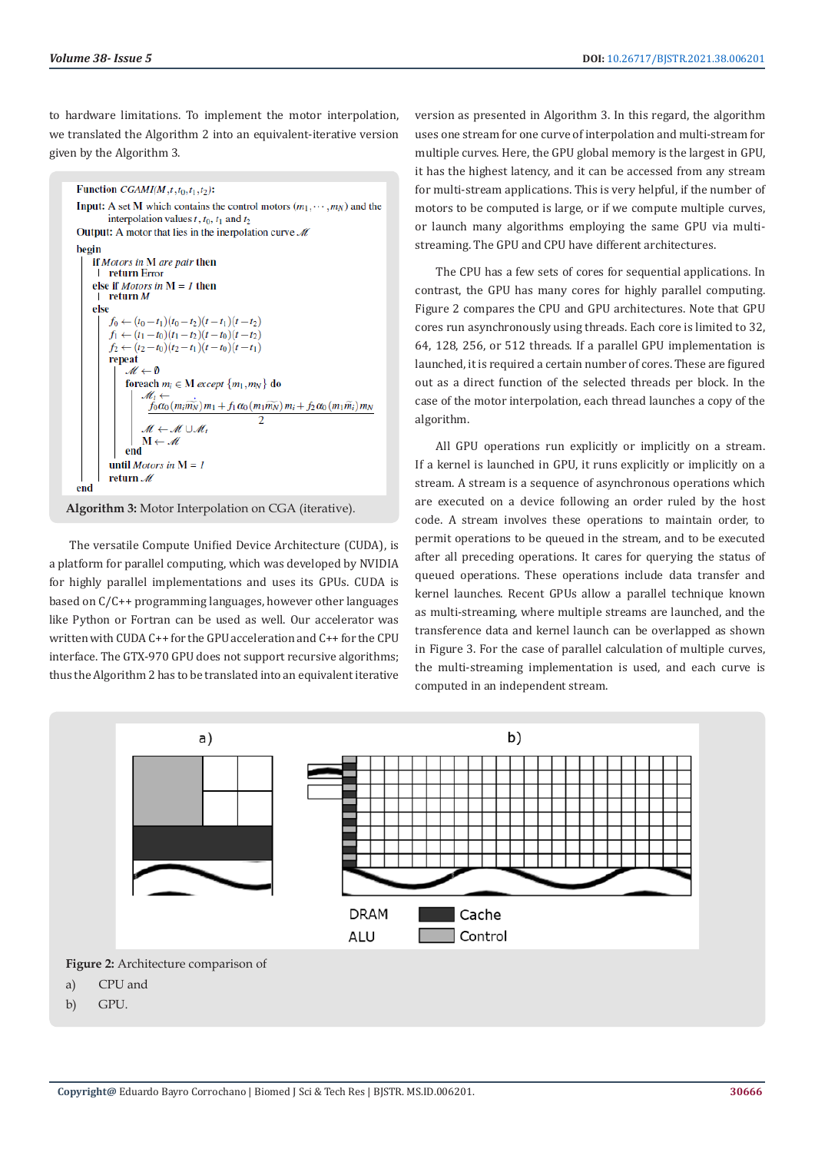to hardware limitations. To implement the motor interpolation, we translated the Algorithm 2 into an equivalent-iterative version given by the Algorithm 3.

```
Function CGAMI(M,t,t_0,t_1,t_2):
Input: A set M which contains the control motors (m_1, \dots, m_N) and the
         interpolation values t, t_0, t_1 and t_2Output: A motor that lies in the inerpolation curve \mathcal{M}begin
    if Motors in M are pair then
        return Error
    else if Motors in M = 1 then
        return M
    else
         f_0 \leftarrow (t_0 - t_1)(t_0 - t_2)(t - t_1)(t - t_2)f_1 \leftarrow (t_1 - t_0)(t_1 - t_2)(t - t_0)(t - t_2)f_2 \leftarrow (t_2 - t_0)(t_2 - t_1)(t - t_0)(t - t_1)repeat
               M \leftarrow \emptysetforeach m_i \in M except \{m_1, m_N\} do
                   \mathscr{M}_tf_0\alpha_0(m_i\widetilde{m_N})m_1+f_1\alpha_0(m_1\widetilde{m_N})m_i+f_2\alpha_0(m_1\widetilde{m_i})m_N\overline{2}M \leftarrow M \cup MM \leftarrow Mend
         until Motors in M = 1return 4
end
```
**Algorithm 3:** Motor Interpolation on CGA (iterative).

The versatile Compute Unified Device Architecture (CUDA), is a platform for parallel computing, which was developed by NVIDIA for highly parallel implementations and uses its GPUs. CUDA is based on C/C++ programming languages, however other languages like Python or Fortran can be used as well. Our accelerator was written with CUDA C++ for the GPU acceleration and C++ for the CPU interface. The GTX-970 GPU does not support recursive algorithms; thus the Algorithm 2 has to be translated into an equivalent iterative

version as presented in Algorithm 3. In this regard, the algorithm uses one stream for one curve of interpolation and multi-stream for multiple curves. Here, the GPU global memory is the largest in GPU, it has the highest latency, and it can be accessed from any stream for multi-stream applications. This is very helpful, if the number of motors to be computed is large, or if we compute multiple curves, or launch many algorithms employing the same GPU via multistreaming. The GPU and CPU have different architectures.

The CPU has a few sets of cores for sequential applications. In contrast, the GPU has many cores for highly parallel computing. Figure 2 compares the CPU and GPU architectures. Note that GPU cores run asynchronously using threads. Each core is limited to 32, 64, 128, 256, or 512 threads. If a parallel GPU implementation is launched, it is required a certain number of cores. These are figured out as a direct function of the selected threads per block. In the case of the motor interpolation, each thread launches a copy of the algorithm.

All GPU operations run explicitly or implicitly on a stream. If a kernel is launched in GPU, it runs explicitly or implicitly on a stream. A stream is a sequence of asynchronous operations which are executed on a device following an order ruled by the host code. A stream involves these operations to maintain order, to permit operations to be queued in the stream, and to be executed after all preceding operations. It cares for querying the status of queued operations. These operations include data transfer and kernel launches. Recent GPUs allow a parallel technique known as multi-streaming, where multiple streams are launched, and the transference data and kernel launch can be overlapped as shown in Figure 3. For the case of parallel calculation of multiple curves, the multi-streaming implementation is used, and each curve is computed in an independent stream.



- a) CPU and
- b) GPU.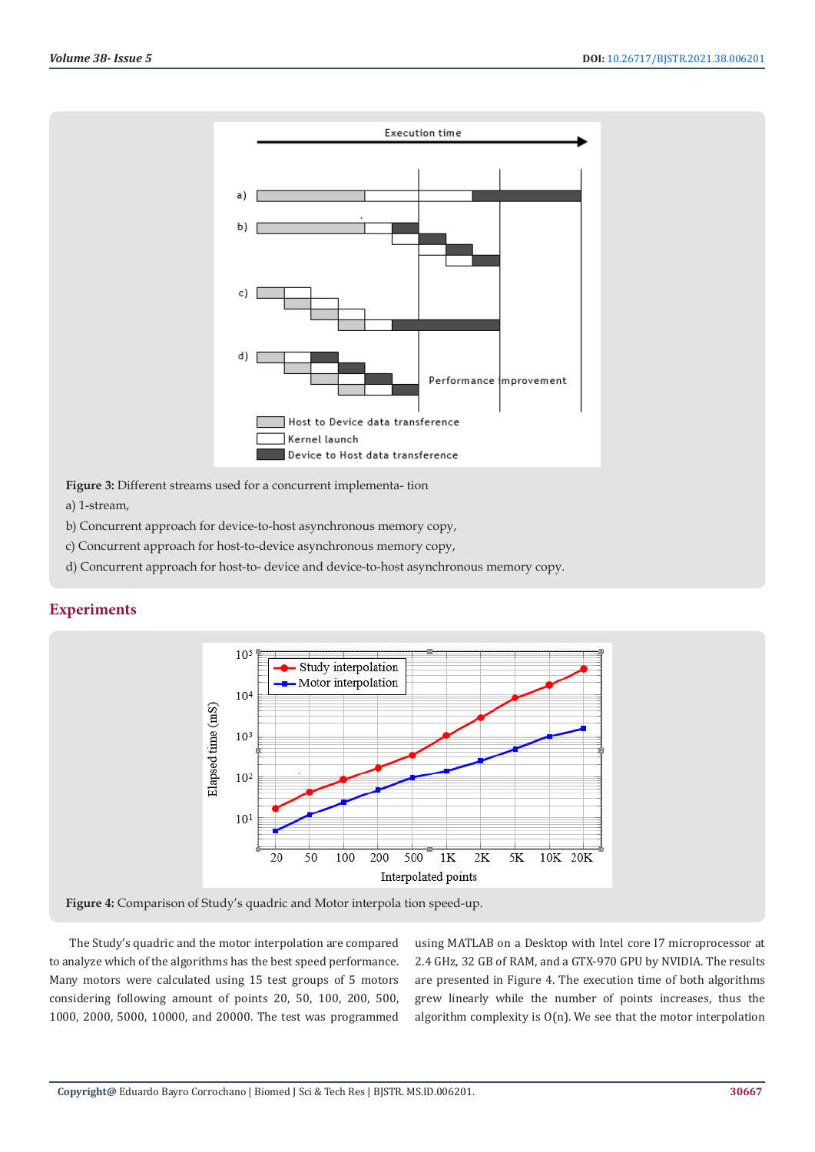

**Figure 3:** Different streams used for a concurrent implementa- tion

a) 1-stream,

- b) Concurrent approach for device-to-host asynchronous memory copy,
- c) Concurrent approach for host-to-device asynchronous memory copy,
- d) Concurrent approach for host-to- device and device-to-host asynchronous memory copy.



**Experiments**

**Figure 4:** Comparison of Study's quadric and Motor interpola tion speed-up.

The Study's quadric and the motor interpolation are compared to analyze which of the algorithms has the best speed performance. Many motors were calculated using 15 test groups of 5 motors considering following amount of points 20, 50, 100, 200, 500, 1000, 2000, 5000, 10000, and 20000. The test was programmed

using MATLAB on a Desktop with Intel core I7 microprocessor at 2.4 GHz, 32 GB of RAM, and a GTX-970 GPU by NVIDIA. The results are presented in Figure 4. The execution time of both algorithms grew linearly while the number of points increases, thus the algorithm complexity is  $O(n)$ . We see that the motor interpolation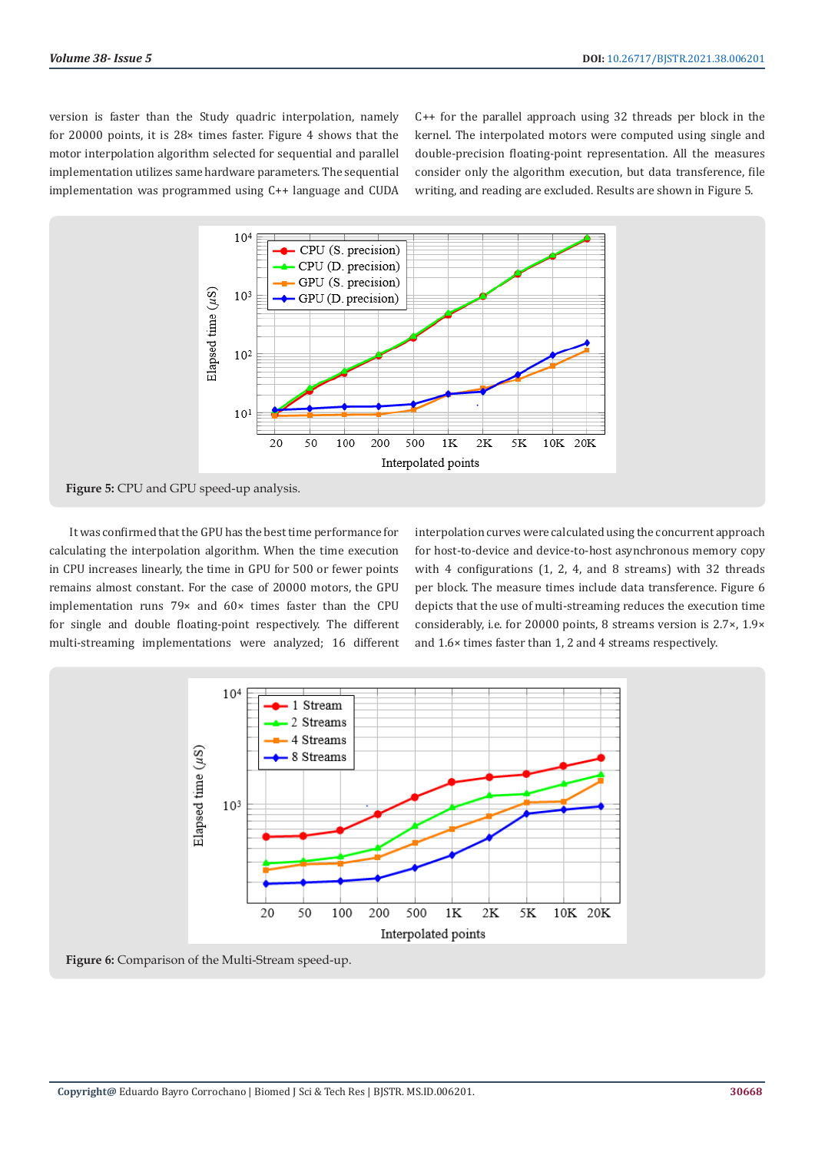version is faster than the Study quadric interpolation, namely for 20000 points, it is 28× times faster. Figure 4 shows that the motor interpolation algorithm selected for sequential and parallel implementation utilizes same hardware parameters. The sequential implementation was programmed using C++ language and CUDA C++ for the parallel approach using 32 threads per block in the kernel. The interpolated motors were computed using single and double-precision floating-point representation. All the measures consider only the algorithm execution, but data transference, file writing, and reading are excluded. Results are shown in Figure 5.



**Figure 5:** CPU and GPU speed-up analysis.

It was confirmed that the GPU has the best time performance for calculating the interpolation algorithm. When the time execution in CPU increases linearly, the time in GPU for 500 or fewer points remains almost constant. For the case of 20000 motors, the GPU implementation runs 79× and 60× times faster than the CPU for single and double floating-point respectively. The different multi-streaming implementations were analyzed; 16 different interpolation curves were calculated using the concurrent approach for host-to-device and device-to-host asynchronous memory copy with 4 configurations (1, 2, 4, and 8 streams) with 32 threads per block. The measure times include data transference. Figure 6 depicts that the use of multi-streaming reduces the execution time considerably, i.e. for 20000 points, 8 streams version is 2.7×, 1.9× and 1.6× times faster than 1, 2 and 4 streams respectively.



**Figure 6:** Comparison of the Multi-Stream speed-up.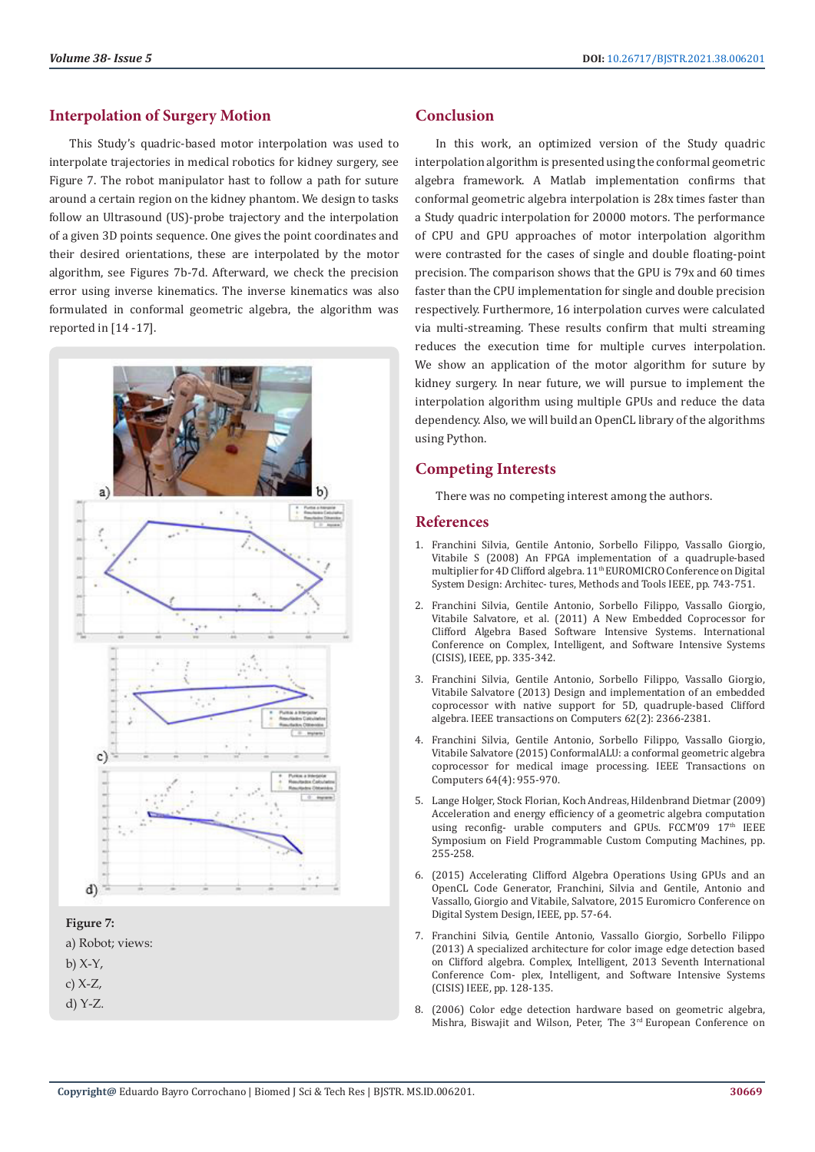# **Interpolation of Surgery Motion**

This Study's quadric-based motor interpolation was used to interpolate trajectories in medical robotics for kidney surgery, see Figure 7. The robot manipulator hast to follow a path for suture around a certain region on the kidney phantom. We design to tasks follow an Ultrasound (US)-probe trajectory and the interpolation of a given 3D points sequence. One gives the point coordinates and their desired orientations, these are interpolated by the motor algorithm, see Figures 7b-7d. Afterward, we check the precision error using inverse kinematics. The inverse kinematics was also formulated in conformal geometric algebra, the algorithm was reported in [14 -17].



# **Figure 7:**



- $b)$  X-Y,
- c) X-Z,
- d) Y-Z.

# **Conclusion**

In this work, an optimized version of the Study quadric interpolation algorithm is presented using the conformal geometric algebra framework. A Matlab implementation confirms that conformal geometric algebra interpolation is 28x times faster than a Study quadric interpolation for 20000 motors. The performance of CPU and GPU approaches of motor interpolation algorithm were contrasted for the cases of single and double floating-point precision. The comparison shows that the GPU is 79x and 60 times faster than the CPU implementation for single and double precision respectively. Furthermore, 16 interpolation curves were calculated via multi-streaming. These results confirm that multi streaming reduces the execution time for multiple curves interpolation. We show an application of the motor algorithm for suture by kidney surgery. In near future, we will pursue to implement the interpolation algorithm using multiple GPUs and reduce the data dependency. Also, we will build an OpenCL library of the algorithms using Python.

# **Competing Interests**

There was no competing interest among the authors.

# **References**

- 1. [Franchini Silvia, Gentile Antonio, Sorbello Filippo, Vassallo Giorgio,](https://dl.acm.org/doi/10.1109/DSD.2008.91) [Vitabile S \(2008\) An FPGA implementation of a quadruple-based](https://dl.acm.org/doi/10.1109/DSD.2008.91) multiplier for 4D Clifford algebra. 11<sup>th</sup> EUROMICRO Conference on Digital [System Design: Architec- tures, Methods and Tools IEEE, pp. 743-751.](https://dl.acm.org/doi/10.1109/DSD.2008.91)
- 2. Franchini Silvia, Gentile Antonio, Sorbello Filippo, Vassallo Giorgio, Vitabile Salvatore, et al. (2011) A New Embedded Coprocessor for Clifford Algebra Based Software Intensive Systems. International Conference on Complex, Intelligent, and Software Intensive Systems (CISIS), IEEE, pp. 335-342.
- 3. [Franchini Silvia, Gentile Antonio, Sorbello Filippo, Vassallo Giorgio,](https://ieeexplore.ieee.org/document/6302125) [Vitabile Salvatore \(2013\) Design and implementation of an embedded](https://ieeexplore.ieee.org/document/6302125) [coprocessor with native support for 5D, quadruple-based Clifford](https://ieeexplore.ieee.org/document/6302125) [algebra. IEEE transactions on Computers 62\(2\): 2366-2381.](https://ieeexplore.ieee.org/document/6302125)
- 4. [Franchini Silvia, Gentile Antonio, Sorbello Filippo, Vassallo Giorgio,](https://ieeexplore.ieee.org/document/6783758) [Vitabile Salvatore \(2015\) ConformalALU: a conformal geometric algebra](https://ieeexplore.ieee.org/document/6783758) [coprocessor for medical image processing. IEEE Transactions on](https://ieeexplore.ieee.org/document/6783758) [Computers 64\(4\): 955-970.](https://ieeexplore.ieee.org/document/6783758)
- 5. [Lange Holger, Stock Florian, Koch Andreas, Hildenbrand Dietmar \(2009\)](https://dl.acm.org/doi/10.1109/FCCM.2009.8) [Acceleration and energy efficiency of a geometric algebra computation](https://dl.acm.org/doi/10.1109/FCCM.2009.8) using reconfig- urable computers and GPUs. FCCM'09  $17<sup>th</sup>$  IEEE [Symposium on Field Programmable Custom Computing Machines, pp.](https://dl.acm.org/doi/10.1109/FCCM.2009.8) [255-258.](https://dl.acm.org/doi/10.1109/FCCM.2009.8)
- 6. (2015) Accelerating Clifford Algebra Operations Using GPUs and an OpenCL Code Generator, Franchini, Silvia and Gentile, Antonio and Vassallo, Giorgio and Vitabile, Salvatore, 2015 Euromicro Conference on Digital System Design, IEEE, pp. 57-64.
- 7. [Franchini Silvia, Gentile Antonio, Vassallo Giorgio, Sorbello Filippo](https://ieeexplore.ieee.org/document/6603878) [\(2013\) A specialized architecture for color image edge detection based](https://ieeexplore.ieee.org/document/6603878) [on Clifford algebra. Complex, Intelligent, 2013 Seventh International](https://ieeexplore.ieee.org/document/6603878) [Conference Com- plex, Intelligent, and Software Intensive Systems](https://ieeexplore.ieee.org/document/6603878) [\(CISIS\) IEEE, pp. 128-135.](https://ieeexplore.ieee.org/document/6603878)
- 8. (2006) Color edge detection hardware based on geometric algebra, Mishra, Biswajit and Wilson, Peter, The 3rd European Conference on